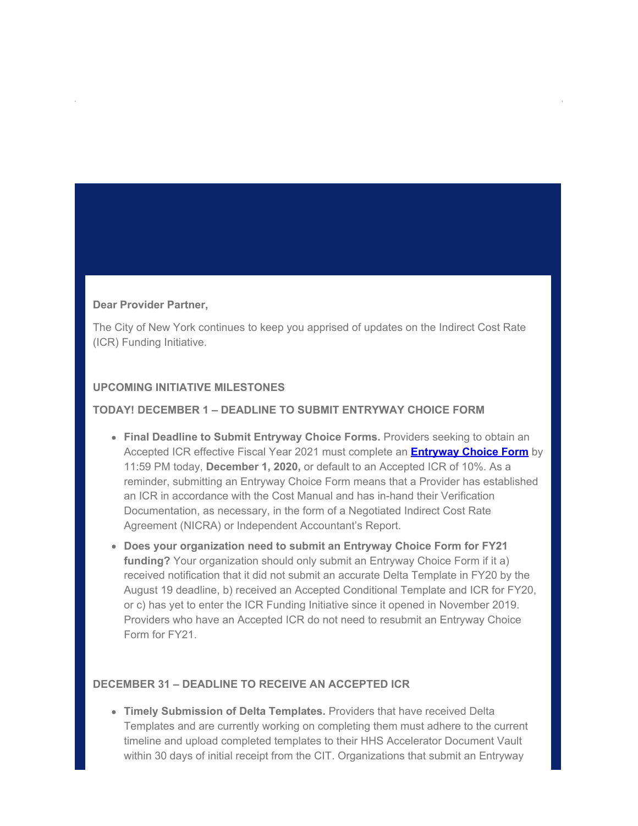### **Dear Provider Partner,**

The City of New York continues to keep you apprised of updates on the Indirect Cost Rate (ICR) Funding Initiative.

# **UPCOMING INITIATIVE MILESTONES**

# **TODAY! DECEMBER 1 – DEADLINE TO SUBMIT ENTRYWAY CHOICE FORM**

- **Final Deadline to Submit Entryway Choice Forms.** Providers seeking to obtain an Accepted ICR effective Fiscal Year 2021 must complete an **[Entryway Choice Form](https://gcc02.safelinks.protection.outlook.com/?url=https%3A%2F%2Flnks.gd%2Fl%2FeyJhbGciOiJIUzI1NiJ9.eyJidWxsZXRpbl9saW5rX2lkIjoxMDAsInVyaSI6ImJwMjpjbGljayIsImJ1bGxldGluX2lkIjoiMjAyMDEyMDEuMzEzNzAwNjEiLCJ1cmwiOiJodHRwczovL3d3dzEubnljLmdvdi9zaXRlL25vbnByb2ZpdHMvZnVuZGVkLXByb3ZpZGVycy9pbmRpcmVjdC1lbnRyeXdheS1jaG9pY2UtZm9ybS5wYWdlP3V0bV9tZWRpdW09ZW1haWwmdXRtX3NvdXJjZT1nb3ZkZWxpdmVyeSJ9.MnAoUHJ_CJEoRwz1203Udxz4e9nfETdkgJ-lL7U_Ono%2Fs%2F955068899%2Fbr%2F90829999036-l&data=04%7C01%7Coluwa.small%40mocs.nyc.gov%7Cd5ee625aae64419c6a2708d89615c94a%7C32f56fc75f814e22a95b15da66513bef%7C0%7C1%7C637424367614756703%7CUnknown%7CTWFpbGZsb3d8eyJWIjoiMC4wLjAwMDAiLCJQIjoiV2luMzIiLCJBTiI6Ik1haWwiLCJXVCI6Mn0%3D%7C1000&sdata=0HmN96zCKESWWtNY%2FtW9p43ejSVAo1JXV0po%2FebslTE%3D&reserved=0)** by 11:59 PM today, **December 1, 2020,** or default to an Accepted ICR of 10%. As a reminder, submitting an Entryway Choice Form means that a Provider has established an ICR in accordance with the Cost Manual and has in-hand their Verification Documentation, as necessary, in the form of a Negotiated Indirect Cost Rate Agreement (NICRA) or Independent Accountant's Report.
- **Does your organization need to submit an Entryway Choice Form for FY21 funding?** Your organization should only submit an Entryway Choice Form if it a) received notification that it did not submit an accurate Delta Template in FY20 by the August 19 deadline, b) received an Accepted Conditional Template and ICR for FY20, or c) has yet to enter the ICR Funding Initiative since it opened in November 2019. Providers who have an Accepted ICR do not need to resubmit an Entryway Choice Form for FY21.

## **DECEMBER 31 – DEADLINE TO RECEIVE AN ACCEPTED ICR**

**Timely Submission of Delta Templates.** Providers that have received Delta Templates and are currently working on completing them must adhere to the current timeline and upload completed templates to their HHS Accelerator Document Vault within 30 days of initial receipt from the CIT. Organizations that submit an Entryway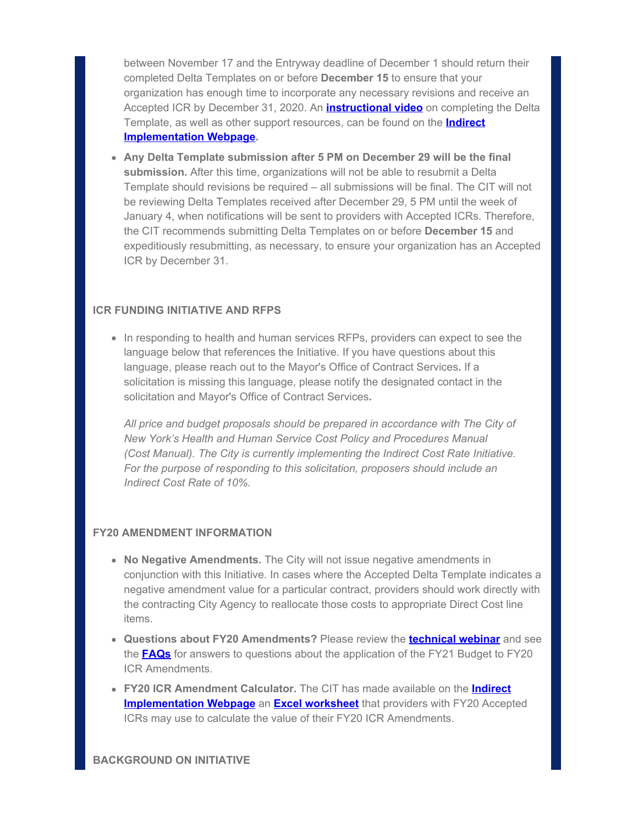between November 17 and the Entryway deadline of December 1 should return their completed Delta Templates on or before **December 15** to ensure that your organization has enough time to incorporate any necessary revisions and receive an Accepted ICR by December 31, 2020. An **[instructional video](https://gcc02.safelinks.protection.outlook.com/?url=https%3A%2F%2Flnks.gd%2Fl%2FeyJhbGciOiJIUzI1NiJ9.eyJidWxsZXRpbl9saW5rX2lkIjoxMDEsInVyaSI6ImJwMjpjbGljayIsImJ1bGxldGluX2lkIjoiMjAyMDEyMDEuMzEzNzAwNjEiLCJ1cmwiOiJodHRwczovL3d3dzEubnljLmdvdi9hc3NldHMvbm9ucHJvZml0cy9kb3dubG9hZHMvVmlkZW9zL0RlbHRhJTIwVGVtcGxhdGUlMjBJbnN0cnVjdGlvbmFsJTIwVmlkZW8ubXA0P3V0bV9tZWRpdW09ZW1haWwmdXRtX3NvdXJjZT1nb3ZkZWxpdmVyeSJ9.8z1HoW-YaWdf4LoUQ-6Ovhx-wYx_X7mYyaKmOulrsO4%2Fs%2F955068899%2Fbr%2F90829999036-l&data=04%7C01%7Coluwa.small%40mocs.nyc.gov%7Cd5ee625aae64419c6a2708d89615c94a%7C32f56fc75f814e22a95b15da66513bef%7C0%7C1%7C637424367614756703%7CUnknown%7CTWFpbGZsb3d8eyJWIjoiMC4wLjAwMDAiLCJQIjoiV2luMzIiLCJBTiI6Ik1haWwiLCJXVCI6Mn0%3D%7C1000&sdata=MBHtZ5KjU8qRE0BIHhgsQ8XZ3bAM3ZTOdBtsJZA9bN8%3D&reserved=0)** on completing the Delta Template, as well as other support resources, can be found on the **[Indirect](https://gcc02.safelinks.protection.outlook.com/?url=https%3A%2F%2Flnks.gd%2Fl%2FeyJhbGciOiJIUzI1NiJ9.eyJidWxsZXRpbl9saW5rX2lkIjoxMDIsInVyaSI6ImJwMjpjbGljayIsImJ1bGxldGluX2lkIjoiMjAyMDEyMDEuMzEzNzAwNjEiLCJ1cmwiOiJodHRwczovL3d3dzEubnljLmdvdi9zaXRlL25vbnByb2ZpdHMvZnVuZGVkLXByb3ZpZGVycy9pbmRpcmVjdC1pbXBsZW1lbnRhdGlvbi5wYWdlP3V0bV9tZWRpdW09ZW1haWwmdXRtX3NvdXJjZT1nb3ZkZWxpdmVyeSJ9.1h-MqHOBpCVuf1qez1LOl74V1XOpQ-jU2zLPxrw9EqI%2Fs%2F955068899%2Fbr%2F90829999036-l&data=04%7C01%7Coluwa.small%40mocs.nyc.gov%7Cd5ee625aae64419c6a2708d89615c94a%7C32f56fc75f814e22a95b15da66513bef%7C0%7C1%7C637424367614766661%7CUnknown%7CTWFpbGZsb3d8eyJWIjoiMC4wLjAwMDAiLCJQIjoiV2luMzIiLCJBTiI6Ik1haWwiLCJXVCI6Mn0%3D%7C1000&sdata=yoZOrc%2FzVvIZLSsPJsrP01q488IdPmK4STzPxSxjedg%3D&reserved=0) [Implementation Webpage](https://gcc02.safelinks.protection.outlook.com/?url=https%3A%2F%2Flnks.gd%2Fl%2FeyJhbGciOiJIUzI1NiJ9.eyJidWxsZXRpbl9saW5rX2lkIjoxMDIsInVyaSI6ImJwMjpjbGljayIsImJ1bGxldGluX2lkIjoiMjAyMDEyMDEuMzEzNzAwNjEiLCJ1cmwiOiJodHRwczovL3d3dzEubnljLmdvdi9zaXRlL25vbnByb2ZpdHMvZnVuZGVkLXByb3ZpZGVycy9pbmRpcmVjdC1pbXBsZW1lbnRhdGlvbi5wYWdlP3V0bV9tZWRpdW09ZW1haWwmdXRtX3NvdXJjZT1nb3ZkZWxpdmVyeSJ9.1h-MqHOBpCVuf1qez1LOl74V1XOpQ-jU2zLPxrw9EqI%2Fs%2F955068899%2Fbr%2F90829999036-l&data=04%7C01%7Coluwa.small%40mocs.nyc.gov%7Cd5ee625aae64419c6a2708d89615c94a%7C32f56fc75f814e22a95b15da66513bef%7C0%7C1%7C637424367614766661%7CUnknown%7CTWFpbGZsb3d8eyJWIjoiMC4wLjAwMDAiLCJQIjoiV2luMzIiLCJBTiI6Ik1haWwiLCJXVCI6Mn0%3D%7C1000&sdata=yoZOrc%2FzVvIZLSsPJsrP01q488IdPmK4STzPxSxjedg%3D&reserved=0).**

**Any Delta Template submission after 5 PM on December 29 will be the final submission.** After this time, organizations will not be able to resubmit a Delta Template should revisions be required – all submissions will be final. The CIT will not be reviewing Delta Templates received after December 29, 5 PM until the week of January 4, when notifications will be sent to providers with Accepted ICRs. Therefore, the CIT recommends submitting Delta Templates on or before **December 15** and expeditiously resubmitting, as necessary, to ensure your organization has an Accepted ICR by December 31.

## **ICR FUNDING INITIATIVE AND RFPS**

• In responding to health and human services RFPs, providers can expect to see the language below that references the Initiative. If you have questions about this language, please reach out to the Mayor's Office of Contract Services**.** If a solicitation is missing this language, please notify the designated contact in the solicitation and Mayor's Office of Contract Services**.**

*All price and budget proposals should be prepared in accordance with The City of New York's Health and Human Service Cost Policy and Procedures Manual (Cost Manual). The City is currently implementing the Indirect Cost Rate Initiative. For the purpose of responding to this solicitation, proposers should include an Indirect Cost Rate of 10%.*

## **FY20 AMENDMENT INFORMATION**

- **No Negative Amendments.** The City will not issue negative amendments in conjunction with this Initiative. In cases where the Accepted Delta Template indicates a negative amendment value for a particular contract, providers should work directly with the contracting City Agency to reallocate those costs to appropriate Direct Cost line items.
- **Questions about FY20 Amendments?** Please review the **[technical webinar](https://gcc02.safelinks.protection.outlook.com/?url=https%3A%2F%2Flnks.gd%2Fl%2FeyJhbGciOiJIUzI1NiJ9.eyJidWxsZXRpbl9saW5rX2lkIjoxMDMsInVyaSI6ImJwMjpjbGljayIsImJ1bGxldGluX2lkIjoiMjAyMDEyMDEuMzEzNzAwNjEiLCJ1cmwiOiJodHRwczovL3d3dzEubnljLmdvdi9hc3NldHMvbm9ucHJvZml0cy9kb3dubG9hZHMvVmlkZW9zL0lDUl9GdW5kaW5nX0luaXRpYXRpdmVfVXBkYXRlX1Byb3ZpZGVyX1dlYmluYXIubXA0P3V0bV9tZWRpdW09ZW1haWwmdXRtX3NvdXJjZT1nb3ZkZWxpdmVyeSJ9.AKkH-vBxqL9OxPUtpd4PWdnutVnIUx4es4Rpq0rPkQE%2Fs%2F955068899%2Fbr%2F90829999036-l&data=04%7C01%7Coluwa.small%40mocs.nyc.gov%7Cd5ee625aae64419c6a2708d89615c94a%7C32f56fc75f814e22a95b15da66513bef%7C0%7C1%7C637424367614766661%7CUnknown%7CTWFpbGZsb3d8eyJWIjoiMC4wLjAwMDAiLCJQIjoiV2luMzIiLCJBTiI6Ik1haWwiLCJXVCI6Mn0%3D%7C1000&sdata=imGsJVjOFaJkagzp6Yp3wq4Bp%2F%2FzBVSk4Xf%2BBvu13tk%3D&reserved=0)** and see the **[FAQs](https://gcc02.safelinks.protection.outlook.com/?url=https%3A%2F%2Flnks.gd%2Fl%2FeyJhbGciOiJIUzI1NiJ9.eyJidWxsZXRpbl9saW5rX2lkIjoxMDQsInVyaSI6ImJwMjpjbGljayIsImJ1bGxldGluX2lkIjoiMjAyMDEyMDEuMzEzNzAwNjEiLCJ1cmwiOiJodHRwczovL3d3dzEubnljLmdvdi9hc3NldHMvbm9ucHJvZml0cy9kb3dubG9hZHMvcGRmL1Byb3ZpZGVyJTIwSUNSJTIwVGVjaG5pY2FsJTIwVXBkYXRlJTIwRkFRLnBkZj91dG1fbWVkaXVtPWVtYWlsJnV0bV9zb3VyY2U9Z292ZGVsaXZlcnkifQ.YTs0iDO7AYKq87Hq2zy__a5lHUwuDHW-G6yqA3p-AsU%2Fs%2F955068899%2Fbr%2F90829999036-l&data=04%7C01%7Coluwa.small%40mocs.nyc.gov%7Cd5ee625aae64419c6a2708d89615c94a%7C32f56fc75f814e22a95b15da66513bef%7C0%7C0%7C637424367614776613%7CUnknown%7CTWFpbGZsb3d8eyJWIjoiMC4wLjAwMDAiLCJQIjoiV2luMzIiLCJBTiI6Ik1haWwiLCJXVCI6Mn0%3D%7C1000&sdata=fS7s470NAodV%2BEMY2Pg%2BMoa73ONh5jM2kDRxJUk0AAY%3D&reserved=0)** for answers to questions about the application of the FY21 Budget to FY20 ICR Amendments.
- **FY20 ICR Amendment Calculator.** The CIT has made available on the **[Indirect](https://gcc02.safelinks.protection.outlook.com/?url=https%3A%2F%2Flnks.gd%2Fl%2FeyJhbGciOiJIUzI1NiJ9.eyJidWxsZXRpbl9saW5rX2lkIjoxMDUsInVyaSI6ImJwMjpjbGljayIsImJ1bGxldGluX2lkIjoiMjAyMDEyMDEuMzEzNzAwNjEiLCJ1cmwiOiJodHRwczovL3d3dzEubnljLmdvdi9zaXRlL25vbnByb2ZpdHMvZnVuZGVkLXByb3ZpZGVycy9pbmRpcmVjdC1pbXBsZW1lbnRhdGlvbi5wYWdlP3V0bV9tZWRpdW09ZW1haWwmdXRtX3NvdXJjZT1nb3ZkZWxpdmVyeSJ9.7GGLzzuUoNSombY3IX_fsXxPLLxTregNzaQzeTcbR9w%2Fs%2F955068899%2Fbr%2F90829999036-l&data=04%7C01%7Coluwa.small%40mocs.nyc.gov%7Cd5ee625aae64419c6a2708d89615c94a%7C32f56fc75f814e22a95b15da66513bef%7C0%7C1%7C637424367614776613%7CUnknown%7CTWFpbGZsb3d8eyJWIjoiMC4wLjAwMDAiLCJQIjoiV2luMzIiLCJBTiI6Ik1haWwiLCJXVCI6Mn0%3D%7C1000&sdata=8NAopsIPqurq15zK7B1RTJOO3BleLt8Y9%2BNUjtqHoU8%3D&reserved=0) [Implementation Webpage](https://gcc02.safelinks.protection.outlook.com/?url=https%3A%2F%2Flnks.gd%2Fl%2FeyJhbGciOiJIUzI1NiJ9.eyJidWxsZXRpbl9saW5rX2lkIjoxMDUsInVyaSI6ImJwMjpjbGljayIsImJ1bGxldGluX2lkIjoiMjAyMDEyMDEuMzEzNzAwNjEiLCJ1cmwiOiJodHRwczovL3d3dzEubnljLmdvdi9zaXRlL25vbnByb2ZpdHMvZnVuZGVkLXByb3ZpZGVycy9pbmRpcmVjdC1pbXBsZW1lbnRhdGlvbi5wYWdlP3V0bV9tZWRpdW09ZW1haWwmdXRtX3NvdXJjZT1nb3ZkZWxpdmVyeSJ9.7GGLzzuUoNSombY3IX_fsXxPLLxTregNzaQzeTcbR9w%2Fs%2F955068899%2Fbr%2F90829999036-l&data=04%7C01%7Coluwa.small%40mocs.nyc.gov%7Cd5ee625aae64419c6a2708d89615c94a%7C32f56fc75f814e22a95b15da66513bef%7C0%7C1%7C637424367614776613%7CUnknown%7CTWFpbGZsb3d8eyJWIjoiMC4wLjAwMDAiLCJQIjoiV2luMzIiLCJBTiI6Ik1haWwiLCJXVCI6Mn0%3D%7C1000&sdata=8NAopsIPqurq15zK7B1RTJOO3BleLt8Y9%2BNUjtqHoU8%3D&reserved=0)** an **[Excel worksheet](https://gcc02.safelinks.protection.outlook.com/?url=https%3A%2F%2Flnks.gd%2Fl%2FeyJhbGciOiJIUzI1NiJ9.eyJidWxsZXRpbl9saW5rX2lkIjoxMDYsInVyaSI6ImJwMjpjbGljayIsImJ1bGxldGluX2lkIjoiMjAyMDEyMDEuMzEzNzAwNjEiLCJ1cmwiOiJodHRwczovL3d3dzEubnljLmdvdi9hc3NldHMvbm9ucHJvZml0cy9kb3dubG9hZHMvcGRmL0ZZMjAlMjBBbWVuZG1lbnQlMjBDYWxjdWxhdG9yLnhsc3g_dXRtX21lZGl1bT1lbWFpbCZ1dG1fc291cmNlPWdvdmRlbGl2ZXJ5In0.WX2WBjvYoENkjT5DZopHn6i7_CKPgjIn3hMizodOQ84%2Fs%2F955068899%2Fbr%2F90829999036-l&data=04%7C01%7Coluwa.small%40mocs.nyc.gov%7Cd5ee625aae64419c6a2708d89615c94a%7C32f56fc75f814e22a95b15da66513bef%7C0%7C0%7C637424367614786572%7CUnknown%7CTWFpbGZsb3d8eyJWIjoiMC4wLjAwMDAiLCJQIjoiV2luMzIiLCJBTiI6Ik1haWwiLCJXVCI6Mn0%3D%7C1000&sdata=pUfy%2FGHDMxXgzzqXDfNBW2JaGSwz6NkleHa6WleU5FU%3D&reserved=0)** that providers with FY20 Accepted ICRs may use to calculate the value of their FY20 ICR Amendments.

#### **BACKGROUND ON INITIATIVE**